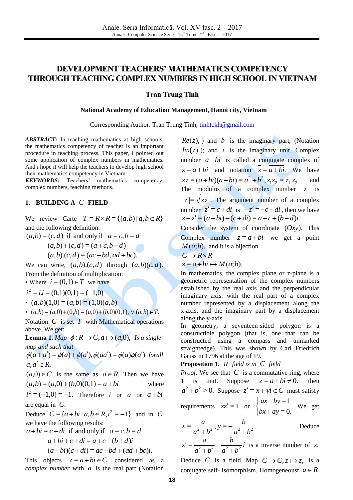# **DEVELOPMENT TEACHERS' MATHEMATICS COMPETENCY THROUGH TEACHING COMPLEX NUMBERS IN HIGH SCHOOL IN VIETNAM**

### **Tran Trung Tinh**

#### **National Academy of Education Management, Hanoi city, Vietnam**

Corresponding Author: Tran Trung Tinh, [tinhtckh@gmail.com](mailto:tinhtckh@gmail.com)

*ABSTRACT:* In teaching mathematics at high schools, the mathematics competency of teacher is an important procedure in teaching process. This paper, I pointed out some application of complex numbers in mathematics. And i hope it will help the teachers to develop high school their mathematics competency in Vietnam. **ABYTRACT:** In teaching mathematics at high schools,<br> **Complex numbers** in mathematics complex numbers<br>
some application of complex numbers in mathematics.<br>
Some application of complex numbers in mathematics.<br>
And interpr

*KEYWORDS:* Teachers' mathematics competency, complex numbers, teaching methods.

### **1. BUILDING A**  *C* **FIELD**

We review Carte  $T = R \times R = \{(a, b) | a, b \in R\}$ and the following definition:

 $(a,b) = (c,d)$  if and only if  $a = c, b = d$  $(a,b)+(c,d) = (a+c,b+d)$ 

$$
(a,b).(c,d) = (ac-bd, ad+bc).
$$

We can write,  $(a,b)$ . $(c,d)$  through  $(a,b)(c,d)$ . From the definition of multiplication:

• Where  $i = (0,1) \in T$  we have

 $i^2 = i.i = (0,1)(0,1) = (-1,0)$ 

- $\bullet$  (*a*,*b*)(1,0) = (*a*,*b*) = (1,0)(*a*,*b*)
- $(a,b) = (a,0) + (0,b) = (a,0) + (b,0)(0,1), \forall (a,b) \in T.$

Notation  $C$  is set  $T$  with Mathematical operations above. We get:

**Lemma 1.** *Map*  $\phi: R \to C$ ,  $a \mapsto (a,0)$ , *Is a single map and such that* 

 $\phi(a+a') = \phi(a) + \phi(a'), \phi(aa') = \phi(a)\phi(a')$  forall  $a, a' \in R$ .

 $(a,0) \in C$  is the same as  $a \in R$ . Then we have  $(a,b) = (a,0) + (b,0)(0,1) = a + bi$ where

 $i^2 = (-1,0) = -1$ . Therefore *i* or *a* or  $a+bi$ are equal in *C*.

Deduce  $C = \{a + bi \mid a, b \in R, i^2 = -1\}$  and in C we have the following results:

$$
a+bi = c + di
$$
 if and only if  $a = c, b = d$   
\n
$$
a+bi+c+di = a+c+(b+d)i
$$
  
\n
$$
(a+bi)(c+di) = ac-bd+(ad+bc)i.
$$

This objects  $z = a + bi \in C$  considered as a

) and *b* is the imaginary part, (Notation  $Im(z)$ ; and *i* is the imaginary unit. Complex number  $a-bi$  is called a conjugate complex of  $z = a + bi$  and notation  $z = a + bi$ . We have  $\frac{1}{2} - \frac{1}{2}$  $zz = (a + bi)(a - bi) = a^2 + b^2$ ,  $z_1 z_2 = z_1 z$ and The modulus of a complex number  $z$  is  $|z| = \sqrt{zz}$ . The argument number of a complex number  $z' = c + di$  is  $-z' = -c - di$ , then we have  $z - z' = (a + bi) - (c + di) = a - c + (b - d)i.$ 

Consider the system of coordinate (*Oxy*). This Complex number  $z = a + bi$  we get a point  $M(a;b)$ . and it is a bijection

$$
C \to R \times R
$$

$$
z = a + bi \mapsto M(a;b).
$$

In mathematics, the complex plane or z-plane is a geometric representation of the complex numbers established by the real axis and the perpendicular imaginary axis. with the real part of a complex number represented by a displacement along the x-axis, and the imaginary part by a displacement along the y-axis.

In geometry, a seventeen-sided polygon is a constructible polygon (that is, one that can be constructed using a compass and unmarked straightedge). This was shown by Carl Friedrich Gauss in 1796 at the age of 19.

**Proposition 1.** *R field is in C field*

*Proof:* We see that C is a commutative ring, where 1 is unit. Suppose  $z = a + bi \neq 0$ . then  $a^2 + b^2 > 0$ . Suppose  $z' = x + yi \in C$  must satisfy requirements  $zz' = 1$  or  $\overline{\mathcal{L}}$ ₹  $\int$  $\overline{+}$  $\overline{a}$  $= 0.$ =1  $bx + ay$  $ax - by$ We get *b a*

$$
x = \frac{a}{a^2 + b^2}, y = -\frac{b}{a^2 + b^2}.
$$
 Deduce

$$
z' = \frac{a}{a^2 + b^2} - \frac{b}{a^2 + b^2}i
$$
 is a inverse number of z.

Deduce C is a field. Map  $C \rightarrow C, z \mapsto z$ , is a conjugate self- isomorphism. Homogeneoust  $a \in R$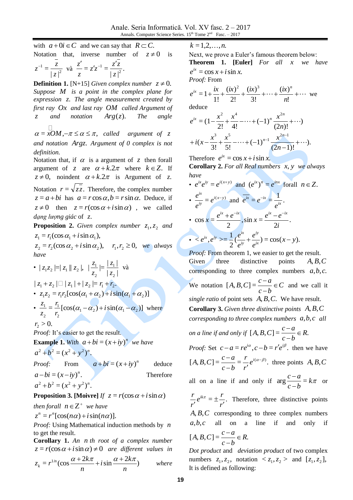with  $a+0i \in C$  and we can say that  $R \subset C$ . Notation that, inverse number of  $z \neq 0$ is

$$
z^{-1} = \frac{\overline{z}}{|z|^2}
$$
 va  $\frac{z'}{z} = z'z^{-1} = \frac{z'\overline{z}}{|z|^2}$ .

**Definition 1.** [N+15] *Given complex number*  $z \neq 0$ . *Suppose M is a point in the complex plane for expression z*. *The angle measurement created by first ray Ox and last ray OM called Argument of z and notation Arg*(*z*). *The angle* 

 $\alpha = xOM, -\pi \leq \alpha \leq \pi,$ Q  $xOM, -\pi \leq \alpha \leq \pi$ , called argument of z *and notation Argz*. *Argument of 0 complex is not definition.* 

Notation that, if  $\alpha$  is a argument of  $\zeta$  then forall argument of *z* are  $\alpha + k \cdot 2\pi$  where  $k \in \mathbb{Z}$ . If  $z \neq 0$ , noindent  $\alpha + k \cdot 2\pi$  is Argument of z. Notation  $r = \sqrt{zz}$ . Therefore, the complex number  $z = a + bi$  has  $a = r \cos \alpha, b = r \sin \alpha$ . Deduce, if  $z \neq 0$  then  $z = r(\cos \alpha + i \sin \alpha)$ , we called *dạng lượng giác* of *z*.

**Proposition 2.** *Given complex number*  $z_1, z_2$  *and*  $z_1 = r_1(\cos \alpha_1 + i \sin \alpha_1),$ 

 $z_2 = r_2(\cos \alpha_2 + i \sin \alpha_2), \quad r_1, r_2 \ge 0, \text{ we always}$ *have* 

•  $|z_1z_2| = |z_1||z_2|$ ,  $| z_{2} |$  $|\frac{z_1}{z_1}| = \frac{|z_1|}{|z_1|}$ 2 1 2 1 *z z z*  $z_1 = |z_1|$  và

 $| z_1 + z_2 | \square | z_1 | + | z_2 | = r_1 + r_2.$ 

- $z_1 z_2 = r_1 r_2 [\cos(\alpha_1 + \alpha_2) + i \sin(\alpha_1 + \alpha_2)]$
- $\frac{z_1}{z_2} = \frac{1}{z_1} [\cos(\alpha_1 \alpha_2) + i \sin(\alpha_1 \alpha_2)]$ 2 1 2  $\frac{1}{n} = \frac{1}{n} [\cos(\alpha_1 - \alpha_2) + i \sin(\alpha_1 - \alpha_2)]$ *r r z*  $\frac{z_1}{z_2} = \frac{r_1}{2} [\cos(\alpha_1 - \alpha_2) + i \sin(\alpha_1 - \alpha_2)]$  where

$$
r_{2}>0.
$$

*Proof:* It's easier to get the result.

**Example 1.** With  $a + bi = (x + iy)^n$  we have  $a^2 + b^2 = (x^2 + y^2)^n$ .

*Proof:* From 
$$
a+bi = (x+iy)^n
$$
 deduce  
\n $a-bi = (x-iy)^n$ . Therefore  
\n $a^2+b^2 = (x^2+y^2)^n$ .

**Proposition 3.** [Moivre] *If*  $z = r(\cos \alpha + i \sin \alpha)$ 

*then forall*  $n \in \mathbb{Z}^+$  *we have*  $z^n = r^n$ [ $\cos(n\alpha) + i \sin(n\alpha)$ ].

*Proof:* Using Mathematical induction methods by *n* to get the result.

**Corollary 1.** *An n th root of a complex number*   $z = r(\cos \alpha + i \sin \alpha) \neq 0$  are different values in

$$
k=1,2,\ldots,n.
$$

Next, we prove a Euler's famous theorem below: **Theorem 1. [Euler]** *For all x we have*   $e^{ix} = \cos x + i \sin x$ .

*Proof:* From

$$
e^{ix} = 1 + \frac{ix}{1!} + \frac{(ix)^2}{2!} + \frac{(ix)^3}{3!} + \dots + \frac{(ix)^n}{n!} + \dots
$$
 we

deduce

$$
e^{ix} = (1 - \frac{x^2}{2!} + \frac{x^4}{4!} - \dots + (-1)^n \frac{x^{2n}}{(2n)!} + \dots)
$$

$$
+ i(x - \frac{x^3}{3!} + \frac{x^5}{5!} - \dots + (-1)^{n-1} \frac{x^{2n-1}}{(2n-1)!} + \dots).
$$

Therefore  $e^{ix} = \cos x + i \sin x$ . **Corollary 2.** *For all Real numbers x*, *y we always have* 

• 
$$
e^{ix}e^{iy} = e^{i(x+y)}
$$
 and  $(e^{ix})^n = e^{inx}$  for all  $n \in \mathbb{Z}$ .  
\n•  $\frac{e^{ix}}{e^{iy}} = e^{i(x-y)}$  and  $e^{ix} = e^{-ix} = \frac{1}{e^{ix}}$ .  
\n•  $\cos x = \frac{e^{ix} + e^{-ix}}{2}$ ,  $\sin x = \frac{e^{ix} - e^{-ix}}{2i}$ .  
\n•  $\langle e^{ix}, e^{iy} \rangle = \frac{1}{2} \frac{e^{ix}}{e^{iy}} + \frac{e^{iy}}{e^{ix}} = \cos(x-y)$ .

*k* = 1,2,,...,*n*.<br>
0 is Next, we prov<br>
Theorem 1.<br>  $e^x = \cos x + i$ <br>  $e^x = \cos x + i$ <br>  $e^x = \cos x + i$ <br>  $e^x = 0$ <br>  $e^x = 1 + \frac{ix}{1!} + \frac{ix}{1!} + \frac{ix}{1!} + \frac{ix}{1!} + \frac{ix}{1!} + \frac{ix}{1!} + \frac{ix}{1!} + \frac{ix}{1!} + \frac{ix}{1!} + \frac{ix}{1!} + \frac{ix}{1!} + \frac{ix}{1!} + \frac{$ *Proof:* From theorem 1, we easier to get the result. Given three distinctive points *A*,*B*,*C* corresponding to three complex numbers  $a, b, c$ . We notation  $[A, B, C] = \frac{C}{A} \in C$ *c b*  $[A, B, C] = \frac{c - a}{\lambda} \in$  $\overline{a}$  $[A, B, C] = \frac{c-a}{\epsilon} \in C$  and we call it single ratio of point sets  $A, B, C$ . We have result. **Corollary 3.** *Given three distinctive points A*,*B*,*C corresponding to three complex numbers a*,*b*,*c all on a line if and only if*  $[A, B, C] = \frac{C - a}{A} \in R$ . *c b*  $[A, B, C] = \frac{c - a}{\lambda} \in$ ÷,  $\overline{a}$ *Proof:* Set  $c - a = re^{i\alpha}, c - b = r'e^{i\beta}$ , then we have

[*A, B, C*] = 
$$
\frac{c-a}{c-b} = \frac{r}{r'}e^{i(\alpha-\beta)}
$$
, three points *A, B, C*

all on a line if and only if  $\arg \frac{e^{i\theta}}{i} = k\pi$ *c b*  $\arg \frac{c-a}{i} =$  $\overline{a}$  $\frac{-a}{\tau} = k\pi$  or

 $=\pm \frac{7}{16}$ . *r*  $e^{ik\pi} = \pm \frac{r}{\pi}$ *r r ik*  $\cdot$  $\pm$  $\frac{\partial}{\partial r}e^{ik\pi} = \pm \frac{i}{r'}$ . Therefore, three distinctive points *A*,*B*,*C* corresponding to three complex numbers *a*,*b*,*c* all on a line if and only if

$$
[A, B, C] = \frac{c - a}{c - b} \in R.
$$

*Dot product* and *deviation product* of two complex numbers  $z_1, z_2$ , notation  $\langle z_1, z_2 \rangle$  and  $[z_1, z_2]$ , It is defined as following: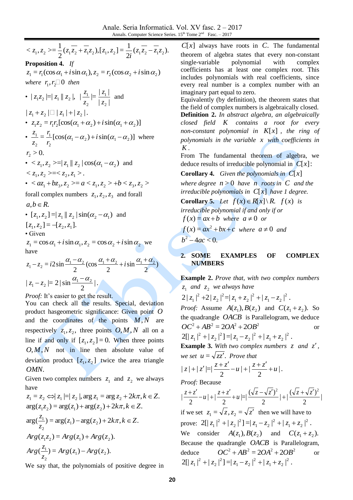$(z_1 z_2 - z_1 z_2).$ <br>  $+i \sin \alpha_2$ <br>  $+i \sin \alpha_2$ <br>  $\alpha_2$  we<br>  $\alpha_2$  we<br>  $\alpha_2$  we<br>  $\alpha_2$  we<br>  $\alpha_1 \frac{\alpha_1 + \alpha_2}{2}$ <br>  $\alpha_2$  we<br>  $\alpha_1 \frac{\alpha_1 + \alpha_2}{2}$ <br>  $\alpha_2$  we<br>  $\alpha_1 \frac{\alpha_1 + \alpha_2}{2}$ <br>  $\alpha_2$  we<br>  $\alpha_1 \frac{\alpha_1 + \alpha_2}{2}$ <br>  $\alpha_2$  we<br>  $\alpha_1$ 2  $\frac{1}{(z_1\overline{z_2} + \overline{z_1}z_2), [z_1, z_2]} = \frac{1}{2}$ 2  $\langle z_1, z_2 \rangle = \frac{1}{2} (\overline{z_1} \overline{z_2} + \overline{z_1} \overline{z_2}) , [\overline{z_1}, \overline{z_2}] = \frac{1}{2i} (\overline{z_1} \overline{z_2} - \overline{z_1} \overline{z_2})$ *i*  $z_1, z_2 \geq z \frac{1}{2} (z_1 z_2 + z_1 z_2), [z_1, z_2] = \frac{1}{2} (z_1 z_2 - z_1 z_2)$ **Proposition 4.** *If*   $z_1 = r_1(\cos \alpha_1 + i \sin \alpha_1), z_2 = r_2(\cos \alpha_2 + i \sin \alpha_2)$ *where*  $r_1, r_2 \square 0$  *then* •  $|z_1z_2| = |z_1||z_2|$  $| z_2 |$  $|\frac{z_1}{z_1}| = \frac{|z_1|}{|z_1|}$ 2 2 *z z z*  $z_1 = |z_1|$  and  $| z_1 + z_2 | \Box | z_1 | + | z_2 |.$ •  $z_1 z_2 = r_1 r_2 [\cos(\alpha_1 + \alpha_2) + i \sin(\alpha_1 + \alpha_2)]$ •  $\frac{z_1}{z} = \frac{1}{z} [\cos(\alpha_1 - \alpha_2) + i \sin(\alpha_1 - \alpha_2)]$ 2 1 2  $\frac{1}{n} = \frac{1}{n} [\cos(\alpha_1 - \alpha_2) + i \sin(\alpha_1 - \alpha_2)]$ *r r z*  $\frac{z_1}{z_1} = \frac{r_1}{\cos(\alpha_1 - \alpha_2)} + i \sin(\alpha_1 - \alpha_2)$  where  $r_2 > 0.$ •  $\langle z_1, z_2 \rangle = |z_1| |z_2| \cos(\alpha_1 - \alpha_2)$  and  $< z_1, z_2> =$ . •  $\langle az_1 + bz_3, z_2 \rangle = a \langle z_1, z_2 \rangle + b \langle z_3, z_2 \rangle$ forall complex numbers  $z_1, z_2, z_3$  and forall  $a, b \in R$ . •  $[z_1, z_2] = |z_1| |z_2| \sin(\alpha_2 - \alpha_1)$  and  $[z_1, z_2] = -[z_2, z_1].$ • Given  $z_1 = \cos \alpha_1 + i \sin \alpha_1$ ,  $z_2 = \cos \alpha_2 + i \sin \alpha_2$  we have 2 sin (cos  $\frac{\alpha_1 - z_2}{2} = i2 \sin \frac{\alpha_1 - \alpha_2}{2} (\cos \frac{\alpha_1 + \alpha_2}{2} + i \sin \frac{\alpha_1 + \alpha_2}{2})$  $z_1 - z_2 = i2\sin\frac{\alpha_1 - \alpha_2}{2} (\cos\frac{\alpha_1 + \alpha_2}{2} + i\sin\frac{\alpha_1 + \alpha_2}{2})$ We say that, the polynomials of positive degree in *C*[*x*]

2 2 |. 2  $|z_1 - z_2| = 2 |\sin \frac{\alpha_1 - \alpha_2}{2}|$  $z_1 - z_2 = 2 |\sin \frac{\alpha_1 - \alpha_2}{2}|$ 

*Proof:* It's easier to get the result.

You can check all the results. Special, deviation product hasgeometric significance: Given point *O* and the coordinates of the points *M*,*N* are respectively  $z_1, z_2$ , three points  $O, M, N$  all on a line if and only if  $[z_1, z_2] = 0$ . When three points *O*,*M*,*N* not in line then absolute value of deviation product  $[z_1, z_2]$  twice the area triangle *OMN*.

Given two complex numbers  $z_1$  and  $z_2$  we always have

$$
z_1 = z_2 \Leftrightarrow |z_1| = |z_2|, \arg z_1 = \arg z_2 + 2k\pi, k \in \mathbb{Z}.
$$
  
\n
$$
\arg(z_1 z_2) = \arg(z_1) + \arg(z_2) + 2k\pi, k \in \mathbb{Z}.
$$
  
\n
$$
\arg(\frac{z_1}{z_2}) = \arg(z_1) - \arg(z_2) + 2k\pi, k \in \mathbb{Z}.
$$
  
\n
$$
Arg(z_1 z_2) = Arg(z_1) + Arg(z_2).
$$
  
\n
$$
Arg(\frac{z_1}{z_2}) = Arg(z_1) - Arg(z_2).
$$

always have roots in *C*. The fundamental theorem of algebra states that every non-constant single-variable polynomial with complex coefficients has at least one complex root. This includes polynomials with real coefficients, since every real number is a complex number with an imaginary part equal to zero. Equivalently (by definition), the theorem states that the field of complex numbers is algebraically closed. **Definition 2.** *In abstract algebra, an algebraically closed field K contains a root for every non-constant polynomial in K*[*x*] *, the ring of polynomials in the variable x with coefficients in K .* From The fundamental theorem of algebra, we deduce results of irreducible polynomial in *C*[*x*]: **Corollary 4.** *Given the polynomials in C*[*x*] *where degree*  $n > 0$  *have*  $n$  *roots in*  $C$  *and the irreducible polynomials in C*[*x*] *have 1 degree.*

**Corollary 5.** *Let*  $f(x) \in R[x] \setminus R$ .  $f(x)$  *is irreducible polynomial if and only if or* 

$$
f(x) = ax + b \text{ where } a \neq 0 \text{ or}
$$

 $f(x) = ax^2 + bx + c$  where  $a \neq 0$  and  $b^2 - 4ac < 0.$ 

## **2. SOME EXAMPLES OF COMPLEX NUMBERS**

**Example 2.** *Prove that, with two complex numbers*   $z_1$  and  $z_2$  we always have

 $2|z_1|^2 + 2|z_2|^2 = |z_1 + z_2|^2 + |z_1 - z_2|^2$ .  $-1$   $\sim$  2 2  $-1$   $\sim$  2 2 2 2  $|z_1|^2 + 2|z_2|^2 = |z_1 + z_2|^2 + |z_1 - z_2|^2$ *Proof:* Assume  $A(z_1)$ ,  $B(z_2)$  and  $C(z_1 + z_2)$ . So the quadrangle *OACB* is Parallelogram, we deduce  $OC^2 + AB^2 = 2OA^2 + 2OB^2$ or  $2[|z_1|^2+|z_2|^2]=|z_1-z_2|^2+|z_1+z_2|^2$ .  $1 + 42$ 2  $-1 - 2$ 2 2 2  $|z_1|^2 + |z_2|^2 = |z_1 - z_2|^2 + |z_1 + z_1|$ 

**Example 3.** With two complex numbers  $z$  and  $z'$ , *we set*  $u = \sqrt{zz'}$ *. Prove that* 

$$
|z|+|z'| = |\frac{z+z'}{2}-u| + |\frac{z+z'}{2}+u|.
$$

*Proof:* Because

| 2  $|+|\frac{(\sqrt{z}+\sqrt{z'})}{z}$ 2  $=$  $\frac{(\sqrt{z}-\sqrt{z'})}{\sqrt{z}}$ 2  $| + |$ 2 |  $\frac{z+z'}{z} - u| + \frac{z+z'}{z} + u| = \frac{(\sqrt{z} - \sqrt{z'})^2}{z} + \frac{(\sqrt{z} + \sqrt{z'})^2}{z}$ if we set  $z_1 = \sqrt{z}$ ,  $z_2 = \sqrt{z'}$  then we will have to prove:  $2[|z_1|^2 + |z_2|^2] = |z_1 - z_2|^2 + |z_1 + z_2|^2$ .  $-1 + 4$ 2  $-1 - 2$ 2 2 2  $|z_1|^2 + |z_2|^2 = |z_1 - z_2|^2 + |z_1 + z_1|$ We consider  $A(z_1), B(z_2)$  and  $C(z_1 + z_2)$ . Because the quadrangle *OACB* is Parallelogram, deduce  $OC^2 + AB^2 = 2OA^2 + 2OB^2$ or  $2[|z_1|^2 + |z_2|^2] = |z_1 - z_2|^2 + |z_1 + z_2|^2$ .  $-1 + 4$ 2  $-1 - 2$ 2 2 2  $|z_1|^2 + |z_2|^2 = |z_1 - z_2|^2 + |z_1 + z_1|$ 

)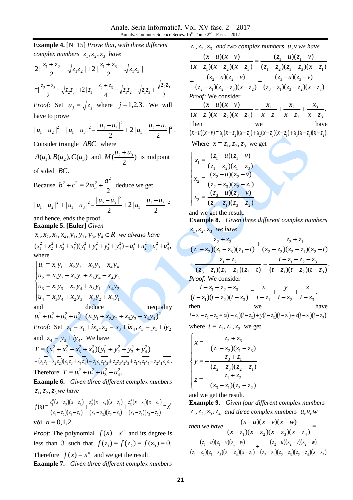**Example 4.** [N+15] *Prove that, with three different complex numbers*  $z_1$ ,  $z_2$ ,  $z_3$  *have* | 2  $|+2|$ 2  $2\left|\frac{z_1+z_2}{2}-\sqrt{z_1z_2}\right|+2\left|\frac{z_1+z_3}{2}-\sqrt{z_1z_3}\right|$ |. 4  $\cdots$   $\cdots$  2  $|+2|$ 2  $= \frac{z_2 + z_3}{2} - \sqrt{z_2 z_3} + 2 |z_1 + \frac{z_2 + z_3}{4} - \sqrt{z_1 z_2} - \sqrt{z_1 z_3} + \frac{\sqrt{z_2 z_3}}{2}$  $\frac{z_2 + z_3}{z_2 - z_3} - \sqrt{z_2 z_3} + 2|z_1 + \frac{z_2 + z_3}{z_1 - z_2} - \sqrt{z_1 z_2} - \sqrt{z_1 z_3} +$ *Proof:* Set  $u_j = \sqrt{z_j}$  where  $j = 1,2,3$ . We will have to prove  $|^{2}$  . 2  $2|$ 2  $|u_1 - u_2|^2 + |u_1 - u_3|^2 = \frac{|u_2 - u_3|^2}{2} + 2 |u_1 - \frac{u_2 + u_3}{2}|^2$  $|u_1-u_3|^2=\frac{|u_2-u_3|^2}{2}$ 2  $1 \quad u_2$  $|u_1 - u_2|^2 + |u_1 - u_3|^2 = \frac{|u_2 - u_3|^2}{2} + 2|u_1 - \frac{u_2 + u_3}{2}$ Consider triangle *ABC* where  $A(u_1), B(u_2), C(u_3)$  and  $M(\frac{u_2 + u_3}{2})$ 2  $M\left(\frac{u_2+u_3}{2}\right)$  is midpoint of sided *BC*. Because 2  $= 2$  $b^2 + c^2 = 2m_a^2 + \frac{a^2}{2}$  deduce we get  $\frac{u_2+u_3}{2}|^2$  $|u_1 - u_3|^2 = \frac{|u_2 - u_3|^2}{2}$ 2  $|u_1 - u_2|^2 + |u_1 - u_3|^2 = \frac{|u_2 - u_3|}{2} + 2|u_1 - \frac{|u_2 + u_3|}{2}|$ 2  $2|$ 2  $|u_1 - u_2|^2 + |u_1 - u_3|^2 = \frac{|u_2 - u_3|^2}{2} + 2|u_1 - \frac{u_2 + u_3}{2}$ and hence, ends the proof. **Example 5. [Euler]** *Given*   $x_1, x_2, x_3, x_4, y_1, y_2, y_3, y_4 \in R$  *we always have*  $(x_1^2 + x_2^2 + x_3^2 + x_4^2)(y_1^2 + y_2^2 + y_3^2 + y_4^2) = u_1^2 + u_2^2 + u_3^2 + u_4^2$ 4 2 3 2 2 2 1 2 4 2 3 2 2 2 1 2 4 2 3 2 2 2  $x_1^2 + x_2^2 + x_3^2 + x_4^2$  $(y_1^2 + y_2^2 + y_3^2 + y_4^2) = u_1^2 + u_2^2 + u_3^2 + u_4^2$ where  $u_4 = x_1 y_4 + x_2 y_3 - x_3 y_2 + x_4 y_1$  $\overline{\phantom{a}}$  $u_2 = x_1 y_2 + x_2 y_1 + x_3 y_4 - x_4 y_3$  $\begin{cases} u_3 = x_1 y_3 - x_2 y_4 + x_3 y_1 + x_4 y_2 \end{cases}$  $\left[ u_1 = x_1 y_1 - x_2 y_2 - x_3 y_3 - x_4 y_4 \right]$ deduce inequality  $(x_1y_1 + x_2y_2 + x_3y_3 + x_4y_4)^2$ .  $1 y_1 + \lambda_2 y_2 + \lambda_3 y_3 + \lambda_4 y_4$ 2 4 2 3 2 2  $u_1^2 + u_2^2 + u_3^2 + u_4^2 \square (x_1y_1 + x_2y_2 + x_3y_3 + x_4y_4)$ *Proof:* Set  $z_1 = x_1 + ix_2, z_2 = x_3 + ix_4, z_3 = y_1 + iy_2$ and  $z_4 = y_3 + iy_4$ . We have  $=(x_1^2+x_2^2+x_3^2+x_4^2)(y_1^2+y_2^2+y_3^2+y_4^2)$ 4 2 3 2 2 2 1 2 4 2 3 2 2  $T = (x_1^2 + x_2^2 + x_3^2 + x_4^2)(y_1^2 + y_2^2 + y_3^2 + y_4^2)$  $=(z_1z_1+z_2z_2)(z_3z_3+z_4z_4)=z_1z_3z_1z_3+z_2z_3z_2z_3+z_1z_4z_1z_4+z_2z_4z_2z_4$ .

Therefore  $T = u_1^2 + u_2^2 + u_3^2 + u_4^2$ . 4 2 3 2 2  $T = u_1^2 + u_2^2 + u_3^2 + u_4^2$ 

**Example 6.** *Given three different complex numbers*   $z_1, z_2, z_3$  we have

$$
f(x) = \frac{z_1^n(x - z_2)(x - z_3)}{(z_1 - z_2)(z_1 - z_3)} + \frac{z_2^n(x - z_3)(x - z_1)}{(z_2 - z_3)(z_2 - z_1)} + \frac{z_3^n(x - z_1)(x - z_2)}{(z_3 - z_1)(z_3 - z_2)} = x^n
$$
  
void  $n = 0, 1, 2$ .

*Proof:* The polynomial  $f(x) - x^n$  and its degree is less than 3 such that  $f(z_1) = f(z_2) = f(z_3) = 0$ . Therefore  $f(x) = x^n$  and we get the result.

**Example 7.** *Given three different complex numbers* 

 $z_1, z_2, z$ *and two complex numbers u*,*v we have* 

$$
\frac{(x-u)(x-v)}{(x-z_1)(x-z_2)(x-z_3)} = \frac{(z_1-u)(z_1-v)}{(z_1-z_2)(z_1-z_3)(x-z_1)} + \frac{(z_2-u)(z_2-v)}{(z_2-z_1)(z_2-z_3)(x-z_2)} + \frac{(z_3-u)(z_3-v)}{(z_3-z_1)(z_3-z_2)(x-z_3)}.
$$
  
\nProof: We consider  
\n
$$
\frac{(x-u)(x-v)}{(x-z_1)(x-z_2)(x-z_3)} = \frac{x_1}{x-z_1} + \frac{x_2}{x-z_2} + \frac{x_3}{x-z_3}.
$$
  
\nThen we have  
\n $(x-u)(x-v) = x_1(x-z_2)(x-z_3) + x_2(x-z_3)(x-z_1) + x_3(x-z_1)(x-z_2).$   
\nWhere  $x = z_1, z_2, z_3$  we get  
\n
$$
\begin{cases}\nx_1 = \frac{(z_1-u)(z_1-v)}{(z_1-z_2)(z_1-z_3)}\n\end{cases}
$$

$$
x_1 = \frac{(z_1 - z_2)(z_1 - z_3)}{(z_1 - z_2)(z_1 - z_3)}
$$
  
\n
$$
x_2 = \frac{(z_2 - u)(z_2 - v)}{(z_2 - z_3)(z_2 - z_1)}
$$
  
\n
$$
x_3 = \frac{(z_3 - u)(z_3 - v)}{(z_3 - z_1)(z_3 - z_2)}
$$

and we get the result.

**Example 8.** *Given three different complex numbers*   $z_1, z_2, z_3$  we have

$$
\frac{z_2 + z_3}{(z_1 - z_2)(z_1 - z_3)(z_1 - t)} + \frac{z_3 + z_1}{(z_2 - z_3)(z_2 - z_1)(z_2 - t)}
$$
  
+ 
$$
\frac{z_1 + z_2}{(z_3 - z_1)(z_3 - z_2)(z_3 - t)} = \frac{t - z_1 - z_2 - z_3}{(t - z_1)(t - z_2)(t - z_3)}
$$
  
*Proof:* We consider  

$$
\frac{t - z_1 - z_2 - z_3}{(t - z_1)(t - z_2)(t - z_3)} = \frac{x}{t - z_1} + \frac{y}{t - z_2} + \frac{z}{t - z_3}
$$
  
then we have  
 $t - z_1 - z_2 - z_3 = x(t - z_2)(t - z_3) + y(t - z_3)(t - z_1) + z(t - z_1)(t - z_2)$ .  
where  $t = z_1, z_2, z_3$  we get

$$
\begin{cases}\nx = -\frac{z_2 + z_3}{(z_1 - z_2)(z_1 - z_3)} \\
y = -\frac{z_3 + z_1}{(z_2 - z_3)(z_2 - z_1)} \\
z = -\frac{z_1 + z_2}{(z_3 - z_1)(z_3 - z_2)}\n\end{cases}
$$

and we get the result.

**Example 9.** *Given four different complex numbers*   $z_1, z_2, z_3, z_4$  and three complex numbers  $u, v, w$ *then we have*  $\frac{(x - u)(x - v)(x - w)}{2}$  $(x-z_1)(x-z_2)(x-z_3)(x-z_4)$  $(x - u)(x - v)(x - w)$  $(x-z_1)(x-z_2)(x-z_3)(x-z_4)$  $(x-u)(x-v)(x-w)$  $-z_1(x-z_2)(x-z_3)(x -u(x-v)(x (z_2 - z_1)(z_2 - z_3)(z_2 - z_4)(x - z_2)$  $(z, -u)(z, -v)(z, -w)$  $(z_1 - z_2)(z_1 - z_3)(z_1 - z_4)(x - z_1)$  $(z_1 - u)(z_1 - v)(z_1 - w)$ 2  $\sim$ 1/1 $\sim$ 2  $\sim$ 3/1 $\sim$ 2  $\sim$ 4/1 $\sim$   $\sim$ 2 2  $\sqrt{2}$   $\sqrt{2}$  $\gamma$   $\gamma$  2  $\gamma$   $\gamma$   $\gamma$  3  $\gamma$   $\gamma$   $\gamma$   $\gamma$  4  $\gamma$   $\gamma$   $\gamma$  $1 \quad \text{with} \quad \text{with} \quad \text{with} \quad \text{with} \quad \text{with} \quad \text{with} \quad \text{with} \quad \text{with} \quad \text{with} \quad \text{with} \quad \text{with} \quad \text{with} \quad \text{with} \quad \text{with} \quad \text{with} \quad \text{with} \quad \text{with} \quad \text{with} \quad \text{with} \quad \text{with} \quad \text{with} \quad \text{with} \quad \text{with} \quad \text{with} \quad \text{with} \quad \text{with} \quad \text{with} \quad \text{with} \quad \text{with} \quad \text{with} \quad \text{with} \quad$  $z_2 - z_1$  $(z_2 - z_3)(z_2 - z_4)(x - z_4)$  $(z_2 - u)(z_2 - v)(z_2 - w)$  $z_1 - z_2$   $(z_1 - z_3)(z_1 - z_4)(x - z_4)$  $z_1 - u$  $(z_1 - v)(z_1 - w)$  $-z_1(z_2-z_3)(z_2-z_4)(x +\frac{(z_2-u)(z_2-v)(z_2-u)}{2}$  $(z_1 - z_2)(z_1 - z_3)(z_1 - z_4)(x - z_4)$  $-u)(z_1-v)(z_1-$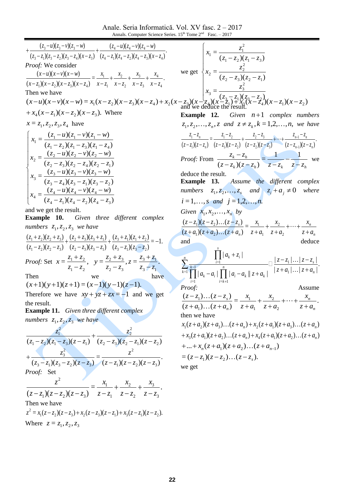Anale. Seria Informatică. Vol. XV fasc. 2 – 2017 Annals. Computer Science Series. 15<sup>th</sup> Tome 2<sup>nd</sup> Fasc. – 2017

 $x_2$ (*x*)<br>22  $(z_4 - z_1)(z_4 - z_2)(z_4 - z_3)(x - z_4)$  $(z_4 - u)(z_4 - v)(z_4 - w)$  $(z_3 - z_1)(z_3 - z_2)(z_3 - z_4)(x - z_3)$  $(z_3 - u)(z_3 - v)(z_3 - w)$ 4 1 4 2 4 3 4  $4 \frac{4 \cdot 4}{1 \cdot 4}$  $3 \sqrt{1/\sqrt{3}} \sqrt{2/\sqrt{3}} \sqrt{4/\sqrt{1/\sqrt{3}}}$  $3^{3}$   $(1)(3)$  $z_4 - z_1$  $(z_4 - z_2)(z_4 - z_3)(x - z_4)$  $z_4 - u$ )( $z_4 - v$ )( $z_4 - w$ )  $z_3 - z_1$  $(z_3 - z_2)(z_3 - z_4)(x - z_3)$  $z_3 - u(z_3 - v)(z_3 - w)$  $-z_1$  $(z_4 - z_2)(z_4 - z_3)(x - z_4)$  $+\frac{(z_4-u)(z_4-v)(z_4-v)}{(z_4-v)(z_4-v)}$  $-z_1(z_3-z_2)(z_3-z_4)(x +\frac{(z_3-u)(z_3-v)(z_3-v)}{(z_3-v)(z_3-v)}$ *Proof:* We consider  $=$   $+$   $+$   $+$   $(x-z_1)(x-z_2)(x-z_3)(x-z_4)$  $(x-u)(x-v)(x-w)$   $\frac{x_1}{1+x_2+x_3+x_4}$  $\sim$   $\sim$  2  $\sim$   $\sim$  3  $\sim$   $\sim$   $\sim$  4  $(x_1)(x-z_2)(x-z_3)(x-z_4)$   $x-z_1$   $x-z_2$   $x-z_3$   $x-z_4$ *x x z x x z x x z x*  $(x-z_1)(x-z_2)(x-z_3)(x-z_4)$  $(x-u)(x-v)(x-w)$ - $^{+}$ —  $^+$ - $^{+}$  $-z_1(x-z_2)(x-z_3)(x-z_4)$  x- $-u(x-v)(x-$ Then we have  $(x-u)(x-v)(x-w) = x_1(x-z_2)(x-z_3)(x-z_4) + x_2(x-z_3)(x-\frac{1}{2}) (x-\frac{1}{2})(x-\frac{1}{2})^2 (x-\frac{2}{2})(x-\frac{2}{2})(x-z_1)(x-z_2)$  $+ x_4(x - z_1)(x - z_2)(x - z_3)$ . Where  $x = z_1, z_2, z_3, z_4$  have  $\overline{ }$  $\overline{\phantom{a}}$  $\left| \right|$  $\overline{\phantom{a}}$  $\overline{\mathcal{L}}$  $\overline{ }$  $\overline{\phantom{a}}$  $\left| \right|$  $\overline{\phantom{a}}$ ↑  $\begin{bmatrix} \phantom{-} \end{bmatrix}$  $-z_1(z_4 - z_2)(z_4 -u)(z_4-v)(z_4 -z_4(z_3 - z_1)(z_3 - z_1)$  $-u)(z_3-v)(z_3 -z_3(z_2-z_4)(z_2 -u)(z_2-v)(z_2 -z_2(z_1-z_3)(z_1 -u)(z_1-v)(z_1 (z_4 - z_1)(z_4 - z_2)(z_4 - z_3)$  $=\frac{(z_4-u)(z_4-v)(z_4-w)}{(w+iv)(z_4-w)}$  $(z_3 - z_4)(z_3 - z_1)(z_3 - z_2)$  $=\frac{(z_3-u)(z_3-v)(z_3-w)}{2}$  $(z_2 - z_3)(z_2 - z_4)(z_2 - z_1)$  $=\frac{(z_2-u)(z_2-v)(z_2-w)}{(w+1)(z_2-w)}$  $(z_1 - z_2)(z_1 - z_3)(z_1 - z_4)$  $=\frac{(z_1-u)(z_1-v)(z_1-w)}{(w+iv)(z_1-v)}$ 4  $\frac{1}{2}$   $\frac{1}{4}$   $\frac{2}{1}$   $\frac{1}{4}$   $\frac{2}{3}$  $\frac{1}{4} = \frac{(24 - u)(24 - v)(24)}{(2u - 2)(2u - 2)(2u - 1)}$ 3  $\frac{1}{2}$   $\frac{1}{2}$   $\frac{1}{2}$   $\frac{1}{2}$   $\frac{1}{2}$   $\frac{1}{2}$   $\frac{1}{2}$  $\frac{3}{3} = \frac{(23 - 4)(23 - 8)(23)}{(2 - 2)(2 - 2)(2 - 3)}$ 2  $\sqrt{3} \sqrt{2}$   $\sqrt{4} \sqrt{2}$   $\sqrt{1}$  $\frac{2}{2} = \frac{(22 - u)(22 - v)(22)}{(2 - u)(2 - u)(2 - u)(2 - u)}$  $1 \quad 2 \times 1 \quad 1 \quad 3 \times 1 \quad 4$  $\frac{1}{(z_1 - z_2)(z_1 - z_3)(z_1 - z_2)}$  $(z_4 - z_1)(z_4 - z_2)(z_4 - z_3)$  $x_4 = \frac{(z_4 - u)(z_4 - v)(z_4 - w)}{2}$  $(z_3 - z_4)(z_3 - z_1)(z_3 - z_1)$  $x_3 = \frac{(z_3 - u)(z_3 - v)(z_3 - w)}{2}$  $(z_2 - z_3)(z_2 - z_4)(z_2 - z_4)$  $x_2 = \frac{(z_2 - u)(z_2 - v)(z_2 - w)}{2}$  $x_1 = \frac{(z_1 - u)(z_1 - v)(z_1 - w)}{2}$ and we get the result. **Example 10.** *Given three different complex numbers*  $z_1$ ,  $z_2$ ,  $z_3$  *we have*  $=-1.$  $(z_3 - z_1)(z_3 - z_2)$  $(z_3 + z_1)(z_1 + z_2)$  $(z_2 - z_3)(z_3 - z_1)$  $(z_2 + z_3)(z_3 + z_1)$  $(z_1 - z_2)(z_2 - z_3)$  $(z_1 + z_2)(z_2 + z_3)$ 3  $\sqrt{1/\sqrt{3}}$   $\sqrt{2}$  $3 + \sim 1/\sqrt{1 + \sim 2}$ 2  $\sqrt{3} / \sqrt{3}$   $\sqrt{1}$  $2 + 3/63 + 9$  $1 \times 2 \times 2 \times 3$  $+\frac{(2)(3)^{2}+3}{2}+\frac{(2)^{2}+3}{2}+\frac{(3)(3)^{2}+3}{2}+\frac{(3)^{2}+3}{2}+\frac{(2)^{2}-3}{2}=-1$  $-z_1(z_3 +\frac{(z_3 + z_1)(z_1 + z_2)}{(z_1 + z_2)(z_2 + z_3)}$  $-z_3(z_3 +\frac{(z_2+z_3)(z_3+)}{z_2+z_3(z_3+)}$  $(z_2 - z_2)(z_2 - z_1)$  $(z_2 + z_2)(z_2 + z_1)$  $z_3 - z_1$  $(z_3 - z_1)$  $z_3 + z_1(z_1 + z_2)$  $z_2 - z_3$  $(z_3 - z_4)$  $(z_2 + z_3)(z_3 + z_4)$  $(z_1 - z_2)(z_2 - z_1)$  $z_1 + z_2$  $(z_2 + z_3)$ *Proof:* Set  $x = \frac{1 + 2i}{n}$ ,  $1 \sim 2$  $-1$   $-2$  $z_1 - z$  $x = \frac{z_1 + z_2}{x_1 + z_2}$ - $\frac{+z_2}{z}$ ,  $y = \frac{z_2 + z_3}{z}$ ,  $z = \frac{z_3 + z_1}{z}$ .  $3 \times 1$  $3^{14}$ 2  $\sim$ 3  $2^{+4}$  $z_3 - z$  $z = \frac{z_3 + z_3}{z}$  $z_2 - z$  $y = \frac{z_2 + z_1}{z_2 + z_2}$ ┢  $^{+}$ - $^{+}$ Then we have  $(x+1)(y+1)(z+1) = (x-1)(y-1)(z-1).$ Therefore we have  $xy + yz + zx = -1$  and we get the result. **Example 11.** *Given three different complex*   $numbers \; z_1, z_2, z_3 \;$  we have  $(z_1 - z_2)(z_1 - z_3)(z - z_1)$   $(z_2 - z_3)(z_2 - z_1)(z - z_2)$ 2 2  $1 \quad 2 \times 1 \quad 4 \quad 3 \times 4$ 2 1  $(z_2 - z_3)(z_2 - z_1)(z - z_1)$ *z*  $z_1 - z_2(z_1 - z_3)(z - z_3)$ *z*  $-z_3(z_2-z_1)(z \ddot{}$  $-z_2(z_1-z_3)(z-$ .  $(z-z_1)(z-z_2)(z-z_3)$ =  $(z_3 - z_1)(z_3 - z_2)(z - z_3)$   $(z - z_1)(z - z_2)(z - z_3)$ 2 3  $\frac{1}{1}$   $\frac{1}{3}$   $\frac{2}{1}$   $\frac{1}{2}$   $\frac{1}{2}$   $\frac{1}{2}$   $\frac{1}{2}$ 2 3  $(z - z_1)(z - z_2)(z - z_3)$ *z*  $z_3 - z_1(z_3 - z_2)(z - z_3)$ *z*  $(z-z_1)(z_3-z_2)(z-z_3)$   $(z-z_1)(z-z_2)(z-z_3)$  $\ddot{}$ *Proof:* Set  $=\frac{y_1}{1}+\frac{y_2}{1}+\frac{y_3}{1}$ .  $(z-z_1)(z-z_2)(z-z_3)$   $z-z_1$   $z-z_2$   $z-z_3$ 3 2 2 1 1  $1/\sqrt{2}$   $\sqrt{2}/\sqrt{2}$   $\sqrt{3}$ 2 *z z x z z x z z x*  $(z - z_1)(z - z_2)(z - z_3)$ *z*  $\overline{a}$  $^{+}$  $\overline{a}$  $\ddag$  $-z_1(z-z_2)(z-z_3)$  z-Then we have  $z^2 = x_1(z - z_2)(z - z_3) + x_2(z - z_3)(z - z_1) + x_3(z - z_1)(z - z_2).$ Where  $z = z_1, z_2, z_3$ we get  $\overline{\phantom{a}}$  $\left| \right|$  $\overline{\phantom{a}}$  $\left(\frac{z_3}{z_1}\right)$   $\left(\frac{z_3-z_1}{z_2}\right)$   $\left(\frac{z_3-z_2}{z_1}\right)$  $\Big\}$  $\overline{\phantom{a}}$  $\overline{\phantom{a}}$  $\left\{\n \begin{array}{l}\n x_2 = \frac{z_2}{(z_2 - z_3)(z_2 - z_1)}\n \end{array}\n\right.$  $\begin{matrix} \phantom{-} \end{matrix}$  $(z_1 - z_2)(z_1 - z_3)$ = = =  $3 \sqrt{2} \sqrt{3}$   $\frac{1}{2}$ 2  $\frac{z_3}{(z_3 - z_1)(z_3 - z_2)}$ 2  $\sqrt{3} / \sqrt{2}$   $\sqrt{1}$ 2  $\overline{z_2} = \frac{z_2}{(z_2 - z_3)(z_2 - z_3)}$  $\cdot$ 1  $\sim$ 2  $\sqrt{2}$   $\sim$ 1  $\sim$ 3 2  $\dot{z}_1 = \frac{z_1}{(z_1 - z_2)(z_1 - z_2)}$  $x_3 = \frac{z}{\sqrt{z}}$  $x_2 = \frac{z}{\sqrt{z}}$  $x_1 = \frac{z}{\sqrt{z}}$ and we deduce the result. **Example 12.** *n* 1 *complex numbers*   $z_1, z_2, \ldots, z_n, z$  and  $z \neq z_k, k = 1, 2, \ldots, n$ , we have .  $(z-z_1)(z-z_2)$   $(z-z_2)(z-z_3)$   $(z-z_{n-1})(z-z_n)$ =  $(z-z_1)(z-z_n)$   $(z-z_1)(z-z_2)$   $(z-z_2)(z-z_3)$   $(z-z_{n-1})$ 1  $271$   $3$  $\frac{2}{3}$  $1/\sqrt{2}$   $\sqrt{2}$  $\frac{1}{2}$ 1 1  $n-1$ / $\vee$   $\vee$   $\vee$  $n-1$   $\neg n$ *n n*  $z - z_{n-1}$ )( $z - z_n$  $z_{n-1} - z_n$ *z z z z z z z z z z z z z z z z z z*  $-z_{n-1}$ )(z- $+\cdots+\frac{z_{n-1}-z_{n-1}}{z_{n-1}-z_{n-1}}$  $-z_2$ )(z –  $+\frac{z_2-z_3}{z_1-z_2-z_1}$  $-z_1$ )(z-Ξ,  $-z_1$ )(z – Ξ,  $\overline{a}$  $\cdots$  +  $\frac{v_{n-1}}{n}$ *Proof:* From  $k \wedge k$   $\omega_h$   $\omega_h$   $\omega_h$   $\omega_h$ *k h*  $(z - z_k)(z - z_k)$   $z - z_k$   $z - z_k$  $z_k - z$ ÷ ÷  $-z_k(z-z_h)$  z- $\frac{-z_h}{z_h} = \frac{1}{1} - \frac{1}{1}$  $(z - z_k)(z - z_h)$ we deduce the result. **Example 13.** *Assume the different complex numbers*  $z_1, z_2, ..., z_s$  and  $z_i + a_j \neq 0$  where  $i = 1, \ldots, s$  and  $j = 1, 2, \ldots, n$ . *Given*  $x_1, x_2, \ldots, x_n$  *by n n n s z a x z a x*  $z + a$ *x*  $(z + a_1)(z + a_2)...(z + a_n)$  $(z - z_1)(z - z_2)...(z - z_n)$  $\ddag$  $+\cdots +$  $\ddag$  $\ddag$  $+a_1(z+a_2)...(z+a_n)$  z+  $\frac{-z_1(z-z_2)...(z-z_s)}{z-z_s} = \frac{x_1}{z_1} + \frac{x_2}{z_2} + \cdots$  $\ldots$  $\cdots$ 2 2 1 1  $1/\sqrt{2}$   $u_2$  $\frac{1}{2}$   $\frac{1}{2}$   $\frac{2}{2}$   $\frac{1}{2}$   $\frac{1}{2}$   $\frac{1}{2}$   $\frac{1}{2}$   $\frac{1}{2}$   $\frac{1}{2}$   $\frac{1}{2}$   $\frac{1}{2}$   $\frac{1}{2}$   $\frac{1}{2}$   $\frac{1}{2}$   $\frac{1}{2}$   $\frac{1}{2}$   $\frac{1}{2}$   $\frac{1}{2}$   $\frac{1}{2}$   $\frac{1}{2}$   $\frac{1}{2}$   $\frac{1}{2}$   $(z + a_1)(z + a_2)...(z + a_n)$  $(z - z_1)(z - z_2)...(z - z_s)$ and deduce  $| z + a_1 | \dots | z + a_n |$  $| z - z_1 | \dots | z - z_s |$  $| a_k - a_i |$  |  $| a_i - a_k | z + a_k |$  $| a_k + z_i |$ 1 1  $=k+1$ 1  $=1$  $=1$  $^{-1}$   $\left| \begin{array}{cc} a & -a \\ a & -a \end{array} \right|$   $\left| \begin{array}{cc} a & -a \\ a & -a \end{array} \right|$   $^{-1}$ *s*  $\mu_i$  **k**  $\mu_k$  **k**  $\mu_k$ *n i k k i k i k i s i n*  $\sum_{k=1}^{k-1} \prod_{a=a}^{n} |a-a| \prod_{a=a}^{n} |a-a| |x+a| | \dots |z+a$  $z - z_1 \mid \ldots \mid z - z$  $a_k - a_i$  | | |  $a_i - a_k$  |  $z + a$  $a_k + z$  $+ a_1 | \dots | z +$  $-z_1$  ... |  $z -a_i$  | | |  $|a_i - a_k|$  |  $z +$  $^{+}$  $\prod |a_k - a_i| \prod$  $\prod$  $\sum_{k=1}^{\infty} \frac{i-1}{\prod_{k=1}^{n} a_{k}} \frac{1}{\prod_{k=1}^{n} a_{k}} \frac{1}{\prod_{k=1}^{n} a_{k}} \frac{1}{\prod_{k=1}^{n} a_{k}} \cdots$  $^{+}$  $\Box \frac{|z-z_1|...}{\cdot}$ *Proof:* Assume  $=\frac{x_1}{1} + \frac{x_2}{1} + \cdots + \frac{x_n}{n}$ .  $(z + a_1) \dots (z + a_n)$  $(z - z_1) \dots (z - z_s)$ 2 2 1 1 1 1 *n n n s*  $z + a$ *x*  $z + a$ *x*  $z + a$ *x*  $z + a_1$ )...(*z* + *a*  $(z - z_1) \dots (z - z_n)$  $\ddot{}$  $+\cdots +$  $\ddot{}$  $\ddot{}$  $+a_1)...(z+a_n) \quad z+$  $\frac{-z_1)...(z-z_s)}{z_1-z_2} = \frac{x_1}{z_1} + \frac{x_2}{z_2} + \cdots$  $\ldots$  $\ldots$ then we have  $x_1(z+a_2)(z+a_3)...(z+a_n)+x_2(z+a_1)(z+a_3)...(z+a_n)$  $+x_3(z+a_1)(z+a_2)...(z+a_n)+x_4(z+a_1)(z+a_2)...(z+a_n)$  $+ ... + x_n(z + a_1)(z + a_2)...(z + a_{n-1})$  $=(z - z_1)(z - z_2)...(z - z_s).$ we get

.